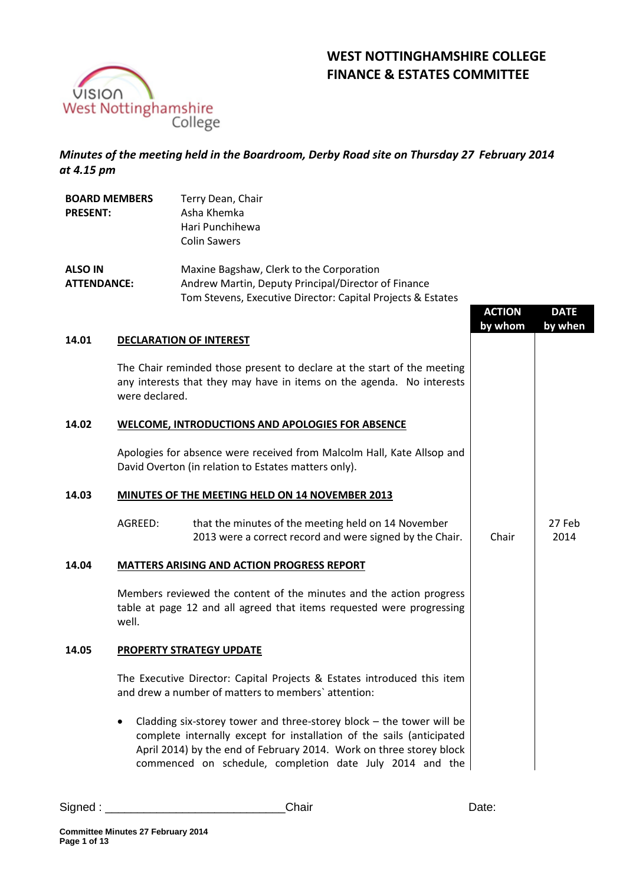

**BOARD MEMBERS** 

# **WEST NOTTINGHAMSHIRE COLLEGE FINANCE & ESTATES COMMITTEE**

## *Minutes of the meeting held in the Boardroom, Derby Road site on Thursday 27 February 2014 at 4.15 pm*

Terry Dean, Chair

| <b>PRESENT:</b>                      |                                                                                                                                | Asha Khemka<br>Hari Punchihewa<br><b>Colin Sawers</b>                                                                                                                                                                                                                              |                          |                        |
|--------------------------------------|--------------------------------------------------------------------------------------------------------------------------------|------------------------------------------------------------------------------------------------------------------------------------------------------------------------------------------------------------------------------------------------------------------------------------|--------------------------|------------------------|
| <b>ALSO IN</b><br><b>ATTENDANCE:</b> |                                                                                                                                | Maxine Bagshaw, Clerk to the Corporation<br>Andrew Martin, Deputy Principal/Director of Finance<br>Tom Stevens, Executive Director: Capital Projects & Estates                                                                                                                     | <b>ACTION</b><br>by whom | <b>DATE</b><br>by when |
| 14.01                                |                                                                                                                                | <b>DECLARATION OF INTEREST</b>                                                                                                                                                                                                                                                     |                          |                        |
|                                      | were declared.                                                                                                                 | The Chair reminded those present to declare at the start of the meeting<br>any interests that they may have in items on the agenda. No interests                                                                                                                                   |                          |                        |
| 14.02                                |                                                                                                                                | <b>WELCOME, INTRODUCTIONS AND APOLOGIES FOR ABSENCE</b>                                                                                                                                                                                                                            |                          |                        |
|                                      |                                                                                                                                | Apologies for absence were received from Malcolm Hall, Kate Allsop and<br>David Overton (in relation to Estates matters only).                                                                                                                                                     |                          |                        |
| 14.03                                | MINUTES OF THE MEETING HELD ON 14 NOVEMBER 2013                                                                                |                                                                                                                                                                                                                                                                                    |                          |                        |
|                                      | AGREED:                                                                                                                        | that the minutes of the meeting held on 14 November<br>2013 were a correct record and were signed by the Chair.                                                                                                                                                                    | Chair                    | 27 Feb<br>2014         |
| 14.04                                |                                                                                                                                | <b>MATTERS ARISING AND ACTION PROGRESS REPORT</b>                                                                                                                                                                                                                                  |                          |                        |
|                                      | well.                                                                                                                          | Members reviewed the content of the minutes and the action progress<br>table at page 12 and all agreed that items requested were progressing                                                                                                                                       |                          |                        |
| 14.05                                |                                                                                                                                | PROPERTY STRATEGY UPDATE                                                                                                                                                                                                                                                           |                          |                        |
|                                      | The Executive Director: Capital Projects & Estates introduced this item<br>and drew a number of matters to members' attention: |                                                                                                                                                                                                                                                                                    |                          |                        |
|                                      |                                                                                                                                | Cladding six-storey tower and three-storey block $-$ the tower will be<br>complete internally except for installation of the sails (anticipated<br>April 2014) by the end of February 2014. Work on three storey block<br>commenced on schedule, completion date July 2014 and the |                          |                        |

Signed : \_\_\_\_\_\_\_\_\_\_\_\_\_\_\_\_\_\_\_\_\_\_\_\_\_\_\_\_Chair Date: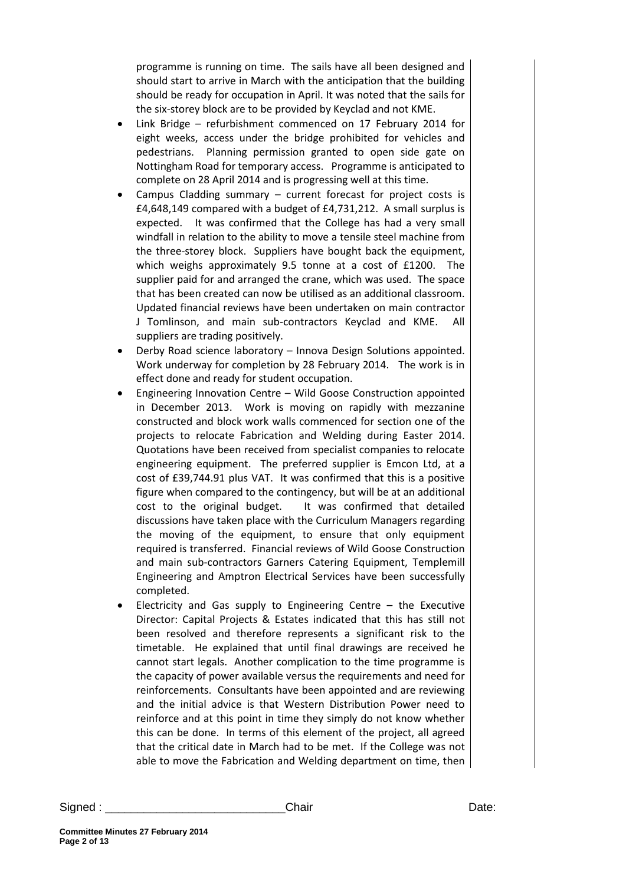programme is running on time. The sails have all been designed and should start to arrive in March with the anticipation that the building should be ready for occupation in April. It was noted that the sails for the six-storey block are to be provided by Keyclad and not KME.

- Link Bridge refurbishment commenced on 17 February 2014 for eight weeks, access under the bridge prohibited for vehicles and pedestrians. Planning permission granted to open side gate on Nottingham Road for temporary access. Programme is anticipated to complete on 28 April 2014 and is progressing well at this time.
- Campus Cladding summary current forecast for project costs is £4,648,149 compared with a budget of £4,731,212. A small surplus is expected. It was confirmed that the College has had a very small windfall in relation to the ability to move a tensile steel machine from the three-storey block. Suppliers have bought back the equipment, which weighs approximately 9.5 tonne at a cost of £1200. The supplier paid for and arranged the crane, which was used. The space that has been created can now be utilised as an additional classroom. Updated financial reviews have been undertaken on main contractor J Tomlinson, and main sub-contractors Keyclad and KME. All suppliers are trading positively.
- Derby Road science laboratory Innova Design Solutions appointed. Work underway for completion by 28 February 2014. The work is in effect done and ready for student occupation.
- Engineering Innovation Centre Wild Goose Construction appointed in December 2013. Work is moving on rapidly with mezzanine constructed and block work walls commenced for section one of the projects to relocate Fabrication and Welding during Easter 2014. Quotations have been received from specialist companies to relocate engineering equipment. The preferred supplier is Emcon Ltd, at a cost of £39,744.91 plus VAT. It was confirmed that this is a positive figure when compared to the contingency, but will be at an additional cost to the original budget. It was confirmed that detailed discussions have taken place with the Curriculum Managers regarding the moving of the equipment, to ensure that only equipment required is transferred. Financial reviews of Wild Goose Construction and main sub-contractors Garners Catering Equipment, Templemill Engineering and Amptron Electrical Services have been successfully completed.
- Electricity and Gas supply to Engineering Centre  $-$  the Executive Director: Capital Projects & Estates indicated that this has still not been resolved and therefore represents a significant risk to the timetable. He explained that until final drawings are received he cannot start legals. Another complication to the time programme is the capacity of power available versus the requirements and need for reinforcements. Consultants have been appointed and are reviewing and the initial advice is that Western Distribution Power need to reinforce and at this point in time they simply do not know whether this can be done. In terms of this element of the project, all agreed that the critical date in March had to be met. If the College was not able to move the Fabrication and Welding department on time, then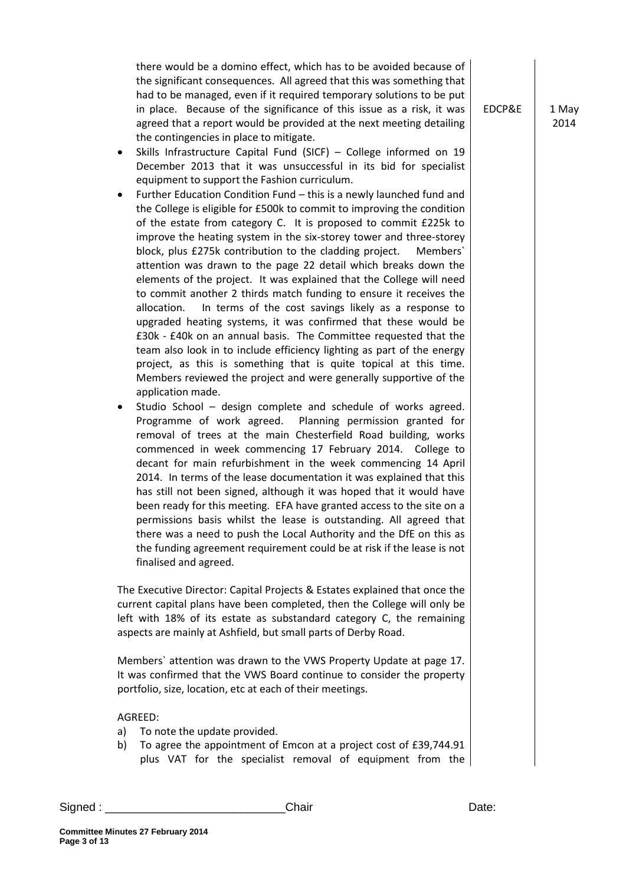there would be a domino effect, which has to be avoided because of the significant consequences. All agreed that this was something that had to be managed, even if it required temporary solutions to be put in place. Because of the significance of this issue as a risk, it was agreed that a report would be provided at the next meeting detailing the contingencies in place to mitigate.

- Skills Infrastructure Capital Fund (SICF) College informed on 19 December 2013 that it was unsuccessful in its bid for specialist equipment to support the Fashion curriculum.
- Further Education Condition Fund this is a newly launched fund and the College is eligible for £500k to commit to improving the condition of the estate from category C. It is proposed to commit £225k to improve the heating system in the six-storey tower and three-storey block, plus £275k contribution to the cladding project. Members` attention was drawn to the page 22 detail which breaks down the elements of the project. It was explained that the College will need to commit another 2 thirds match funding to ensure it receives the allocation. In terms of the cost savings likely as a response to upgraded heating systems, it was confirmed that these would be £30k - £40k on an annual basis. The Committee requested that the team also look in to include efficiency lighting as part of the energy project, as this is something that is quite topical at this time. Members reviewed the project and were generally supportive of the application made.
- Studio School design complete and schedule of works agreed. Programme of work agreed. Planning permission granted for removal of trees at the main Chesterfield Road building, works commenced in week commencing 17 February 2014. College to decant for main refurbishment in the week commencing 14 April 2014. In terms of the lease documentation it was explained that this has still not been signed, although it was hoped that it would have been ready for this meeting. EFA have granted access to the site on a permissions basis whilst the lease is outstanding. All agreed that there was a need to push the Local Authority and the DfE on this as the funding agreement requirement could be at risk if the lease is not finalised and agreed.

The Executive Director: Capital Projects & Estates explained that once the current capital plans have been completed, then the College will only be left with 18% of its estate as substandard category C, the remaining aspects are mainly at Ashfield, but small parts of Derby Road.

Members` attention was drawn to the VWS Property Update at page 17. It was confirmed that the VWS Board continue to consider the property portfolio, size, location, etc at each of their meetings.

### AGREED:

- a) To note the update provided.
- b) To agree the appointment of Emcon at a project cost of £39,744.91 plus VAT for the specialist removal of equipment from the

EDCP&E  $\vert$  1 May 2014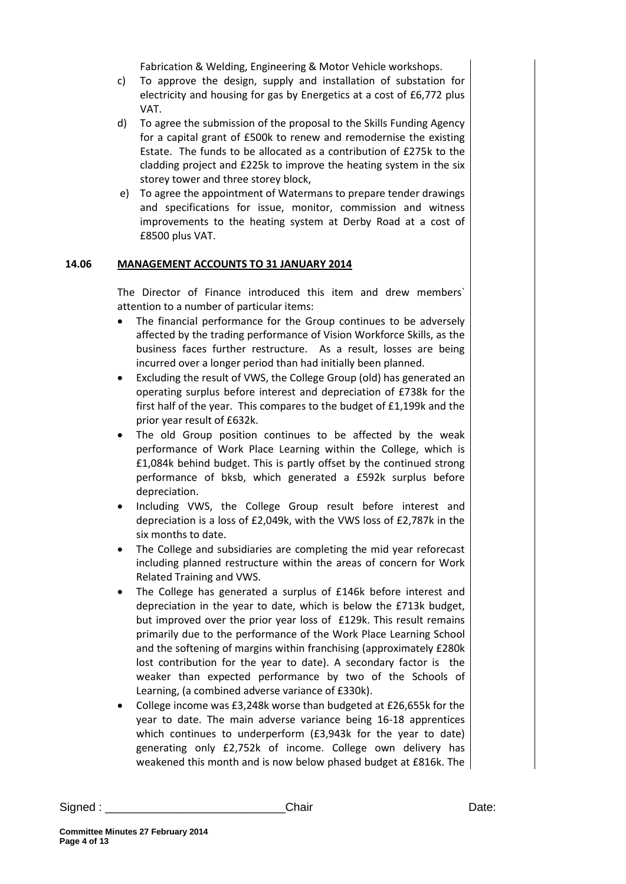Fabrication & Welding, Engineering & Motor Vehicle workshops.

- c) To approve the design, supply and installation of substation for electricity and housing for gas by Energetics at a cost of £6,772 plus VAT.
- d) To agree the submission of the proposal to the Skills Funding Agency for a capital grant of £500k to renew and remodernise the existing Estate. The funds to be allocated as a contribution of £275k to the cladding project and £225k to improve the heating system in the six storey tower and three storey block,
- e) To agree the appointment of Watermans to prepare tender drawings and specifications for issue, monitor, commission and witness improvements to the heating system at Derby Road at a cost of £8500 plus VAT.

## **14.06 MANAGEMENT ACCOUNTS TO 31 JANUARY 2014**

The Director of Finance introduced this item and drew members` attention to a number of particular items:

- The financial performance for the Group continues to be adversely affected by the trading performance of Vision Workforce Skills, as the business faces further restructure. As a result, losses are being incurred over a longer period than had initially been planned.
- Excluding the result of VWS, the College Group (old) has generated an operating surplus before interest and depreciation of £738k for the first half of the year. This compares to the budget of £1,199k and the prior year result of £632k.
- The old Group position continues to be affected by the weak performance of Work Place Learning within the College, which is £1,084k behind budget. This is partly offset by the continued strong performance of bksb, which generated a £592k surplus before depreciation.
- Including VWS, the College Group result before interest and depreciation is a loss of £2,049k, with the VWS loss of £2,787k in the six months to date.
- The College and subsidiaries are completing the mid year reforecast including planned restructure within the areas of concern for Work Related Training and VWS.
- The College has generated a surplus of £146k before interest and depreciation in the year to date, which is below the £713k budget, but improved over the prior year loss of £129k. This result remains primarily due to the performance of the Work Place Learning School and the softening of margins within franchising (approximately £280k lost contribution for the year to date). A secondary factor is the weaker than expected performance by two of the Schools of Learning, (a combined adverse variance of £330k).
- College income was £3,248k worse than budgeted at £26,655k for the year to date. The main adverse variance being 16-18 apprentices which continues to underperform (£3,943k for the year to date) generating only £2,752k of income. College own delivery has weakened this month and is now below phased budget at £816k. The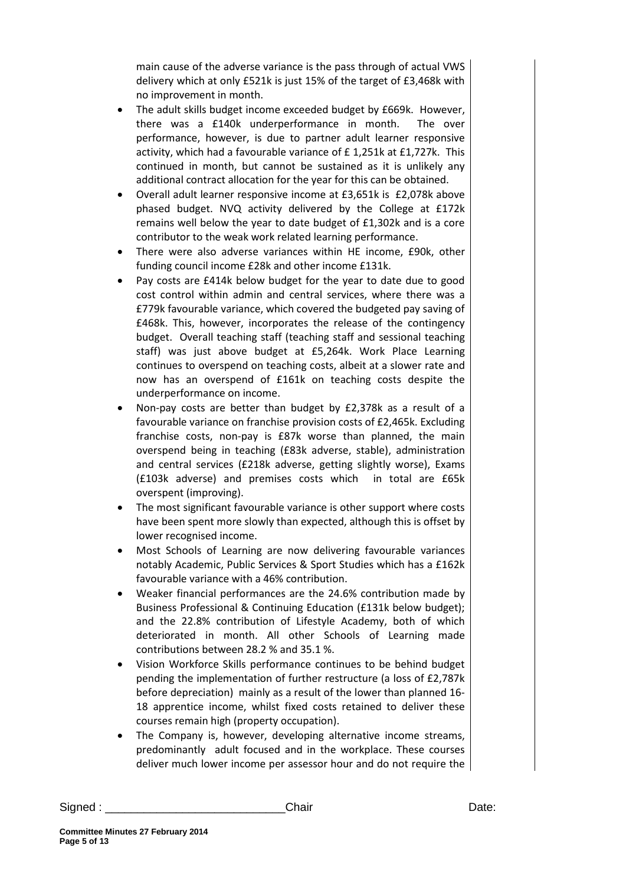main cause of the adverse variance is the pass through of actual VWS delivery which at only £521k is just 15% of the target of £3,468k with no improvement in month.

- The adult skills budget income exceeded budget by £669k. However, there was a £140k underperformance in month. The over performance, however, is due to partner adult learner responsive activity, which had a favourable variance of £ 1,251k at £1,727k. This continued in month, but cannot be sustained as it is unlikely any additional contract allocation for the year for this can be obtained.
- Overall adult learner responsive income at £3,651k is £2,078k above phased budget. NVQ activity delivered by the College at £172k remains well below the year to date budget of £1,302k and is a core contributor to the weak work related learning performance.
- There were also adverse variances within HE income, £90k, other funding council income £28k and other income £131k.
- Pay costs are £414k below budget for the year to date due to good cost control within admin and central services, where there was a £779k favourable variance, which covered the budgeted pay saving of £468k. This, however, incorporates the release of the contingency budget. Overall teaching staff (teaching staff and sessional teaching staff) was just above budget at £5,264k. Work Place Learning continues to overspend on teaching costs, albeit at a slower rate and now has an overspend of £161k on teaching costs despite the underperformance on income.
- Non-pay costs are better than budget by £2,378k as a result of a favourable variance on franchise provision costs of £2,465k. Excluding franchise costs, non-pay is £87k worse than planned, the main overspend being in teaching (£83k adverse, stable), administration and central services (£218k adverse, getting slightly worse), Exams (£103k adverse) and premises costs which in total are £65k overspent (improving).
- The most significant favourable variance is other support where costs have been spent more slowly than expected, although this is offset by lower recognised income.
- Most Schools of Learning are now delivering favourable variances notably Academic, Public Services & Sport Studies which has a £162k favourable variance with a 46% contribution.
- Weaker financial performances are the 24.6% contribution made by Business Professional & Continuing Education (£131k below budget); and the 22.8% contribution of Lifestyle Academy, both of which deteriorated in month. All other Schools of Learning made contributions between 28.2 % and 35.1 %.
- Vision Workforce Skills performance continues to be behind budget pending the implementation of further restructure (a loss of £2,787k before depreciation) mainly as a result of the lower than planned 16- 18 apprentice income, whilst fixed costs retained to deliver these courses remain high (property occupation).
- The Company is, however, developing alternative income streams, predominantly adult focused and in the workplace. These courses deliver much lower income per assessor hour and do not require the

Signed : \_\_\_\_\_\_\_\_\_\_\_\_\_\_\_\_\_\_\_\_\_\_\_\_\_\_\_\_Chair Date: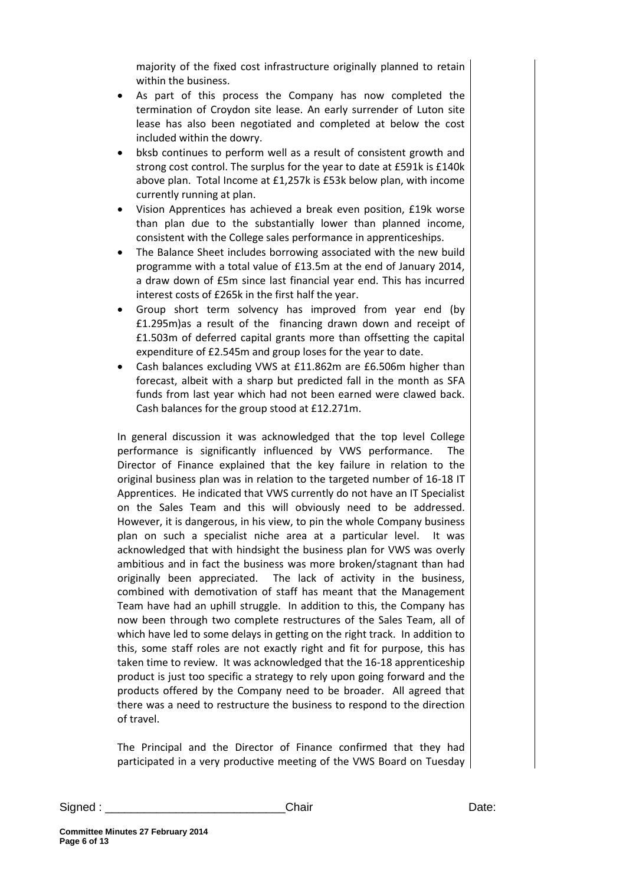majority of the fixed cost infrastructure originally planned to retain within the business.

- As part of this process the Company has now completed the termination of Croydon site lease. An early surrender of Luton site lease has also been negotiated and completed at below the cost included within the dowry.
- bksb continues to perform well as a result of consistent growth and strong cost control. The surplus for the year to date at £591k is £140k above plan. Total Income at £1,257k is £53k below plan, with income currently running at plan.
- Vision Apprentices has achieved a break even position, £19k worse than plan due to the substantially lower than planned income, consistent with the College sales performance in apprenticeships.
- The Balance Sheet includes borrowing associated with the new build programme with a total value of £13.5m at the end of January 2014, a draw down of £5m since last financial year end. This has incurred interest costs of £265k in the first half the year.
- Group short term solvency has improved from year end (by £1.295m)as a result of the financing drawn down and receipt of £1.503m of deferred capital grants more than offsetting the capital expenditure of £2.545m and group loses for the year to date.
- Cash balances excluding VWS at £11.862m are £6.506m higher than forecast, albeit with a sharp but predicted fall in the month as SFA funds from last year which had not been earned were clawed back. Cash balances for the group stood at £12.271m.

In general discussion it was acknowledged that the top level College performance is significantly influenced by VWS performance. The Director of Finance explained that the key failure in relation to the original business plan was in relation to the targeted number of 16-18 IT Apprentices. He indicated that VWS currently do not have an IT Specialist on the Sales Team and this will obviously need to be addressed. However, it is dangerous, in his view, to pin the whole Company business plan on such a specialist niche area at a particular level. It was acknowledged that with hindsight the business plan for VWS was overly ambitious and in fact the business was more broken/stagnant than had originally been appreciated. The lack of activity in the business, combined with demotivation of staff has meant that the Management Team have had an uphill struggle. In addition to this, the Company has now been through two complete restructures of the Sales Team, all of which have led to some delays in getting on the right track. In addition to this, some staff roles are not exactly right and fit for purpose, this has taken time to review. It was acknowledged that the 16-18 apprenticeship product is just too specific a strategy to rely upon going forward and the products offered by the Company need to be broader. All agreed that there was a need to restructure the business to respond to the direction of travel.

The Principal and the Director of Finance confirmed that they had participated in a very productive meeting of the VWS Board on Tuesday

Signed : \_\_\_\_\_\_\_\_\_\_\_\_\_\_\_\_\_\_\_\_\_\_\_\_\_\_\_\_Chair Date:

**Committee Minutes 27 February 2014 Page 6 of 13**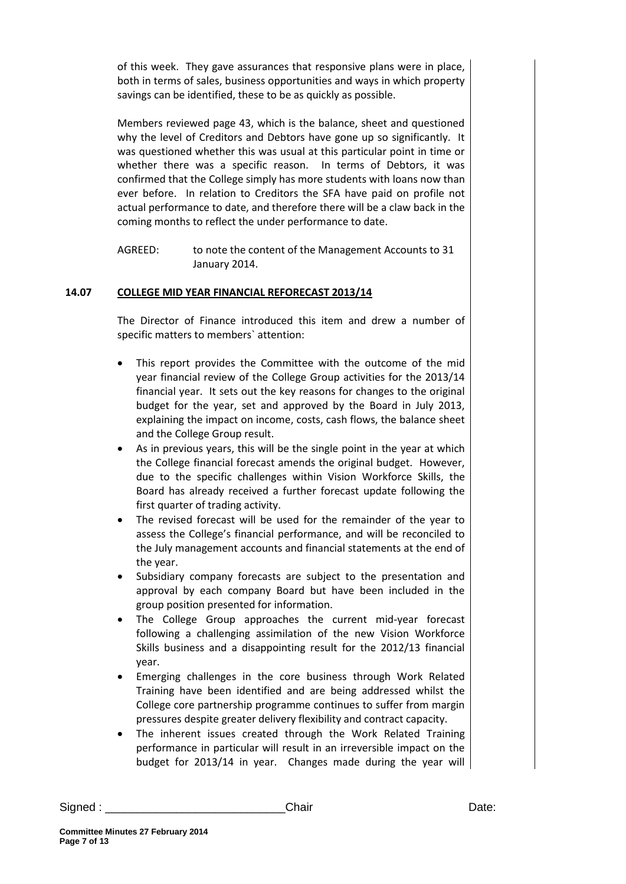of this week. They gave assurances that responsive plans were in place, both in terms of sales, business opportunities and ways in which property savings can be identified, these to be as quickly as possible.

Members reviewed page 43, which is the balance, sheet and questioned why the level of Creditors and Debtors have gone up so significantly. It was questioned whether this was usual at this particular point in time or whether there was a specific reason. In terms of Debtors, it was confirmed that the College simply has more students with loans now than ever before. In relation to Creditors the SFA have paid on profile not actual performance to date, and therefore there will be a claw back in the coming months to reflect the under performance to date.

AGREED: to note the content of the Management Accounts to 31 January 2014.

## **14.07 COLLEGE MID YEAR FINANCIAL REFORECAST 2013/14**

The Director of Finance introduced this item and drew a number of specific matters to members` attention:

- This report provides the Committee with the outcome of the mid year financial review of the College Group activities for the 2013/14 financial year. It sets out the key reasons for changes to the original budget for the year, set and approved by the Board in July 2013, explaining the impact on income, costs, cash flows, the balance sheet and the College Group result.
- As in previous years, this will be the single point in the year at which the College financial forecast amends the original budget. However, due to the specific challenges within Vision Workforce Skills, the Board has already received a further forecast update following the first quarter of trading activity.
- The revised forecast will be used for the remainder of the year to assess the College's financial performance, and will be reconciled to the July management accounts and financial statements at the end of the year.
- Subsidiary company forecasts are subject to the presentation and approval by each company Board but have been included in the group position presented for information.
- The College Group approaches the current mid-year forecast following a challenging assimilation of the new Vision Workforce Skills business and a disappointing result for the 2012/13 financial year.
- Emerging challenges in the core business through Work Related Training have been identified and are being addressed whilst the College core partnership programme continues to suffer from margin pressures despite greater delivery flexibility and contract capacity.
- The inherent issues created through the Work Related Training performance in particular will result in an irreversible impact on the budget for 2013/14 in year. Changes made during the year will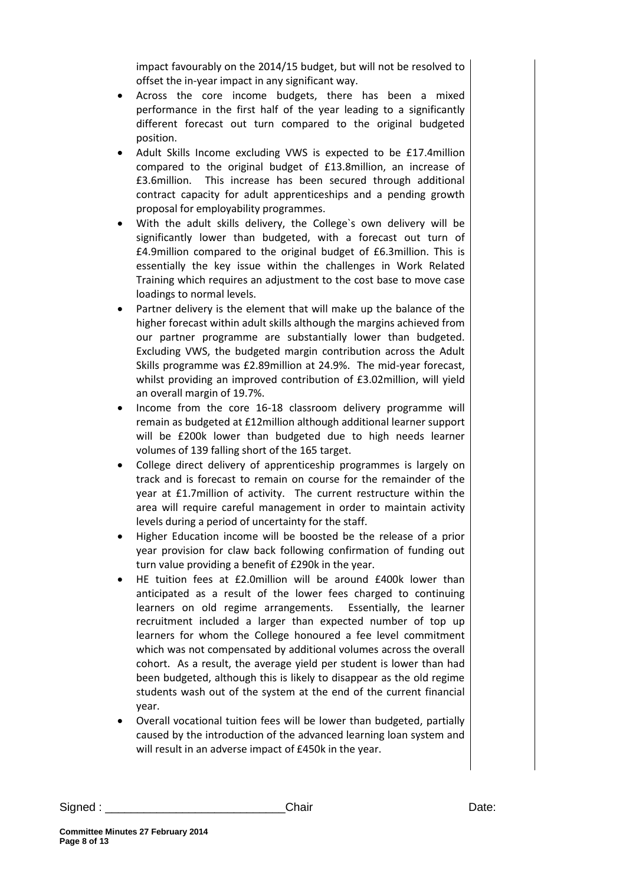impact favourably on the 2014/15 budget, but will not be resolved to offset the in-year impact in any significant way.

- Across the core income budgets, there has been a mixed performance in the first half of the year leading to a significantly different forecast out turn compared to the original budgeted position.
- Adult Skills Income excluding VWS is expected to be £17.4million compared to the original budget of £13.8million, an increase of £3.6million. This increase has been secured through additional contract capacity for adult apprenticeships and a pending growth proposal for employability programmes.
- With the adult skills delivery, the College`s own delivery will be significantly lower than budgeted, with a forecast out turn of £4.9million compared to the original budget of £6.3million. This is essentially the key issue within the challenges in Work Related Training which requires an adjustment to the cost base to move case loadings to normal levels.
- Partner delivery is the element that will make up the balance of the higher forecast within adult skills although the margins achieved from our partner programme are substantially lower than budgeted. Excluding VWS, the budgeted margin contribution across the Adult Skills programme was £2.89million at 24.9%. The mid-year forecast, whilst providing an improved contribution of £3.02million, will yield an overall margin of 19.7%.
- Income from the core 16-18 classroom delivery programme will remain as budgeted at £12million although additional learner support will be £200k lower than budgeted due to high needs learner volumes of 139 falling short of the 165 target.
- College direct delivery of apprenticeship programmes is largely on track and is forecast to remain on course for the remainder of the year at £1.7million of activity. The current restructure within the area will require careful management in order to maintain activity levels during a period of uncertainty for the staff.
- Higher Education income will be boosted be the release of a prior year provision for claw back following confirmation of funding out turn value providing a benefit of £290k in the year.
- HE tuition fees at £2.0million will be around £400k lower than anticipated as a result of the lower fees charged to continuing learners on old regime arrangements. Essentially, the learner recruitment included a larger than expected number of top up learners for whom the College honoured a fee level commitment which was not compensated by additional volumes across the overall cohort. As a result, the average yield per student is lower than had been budgeted, although this is likely to disappear as the old regime students wash out of the system at the end of the current financial year.
- Overall vocational tuition fees will be lower than budgeted, partially caused by the introduction of the advanced learning loan system and will result in an adverse impact of £450k in the year.

Signed : \_\_\_\_\_\_\_\_\_\_\_\_\_\_\_\_\_\_\_\_\_\_\_\_\_\_\_\_Chair Date: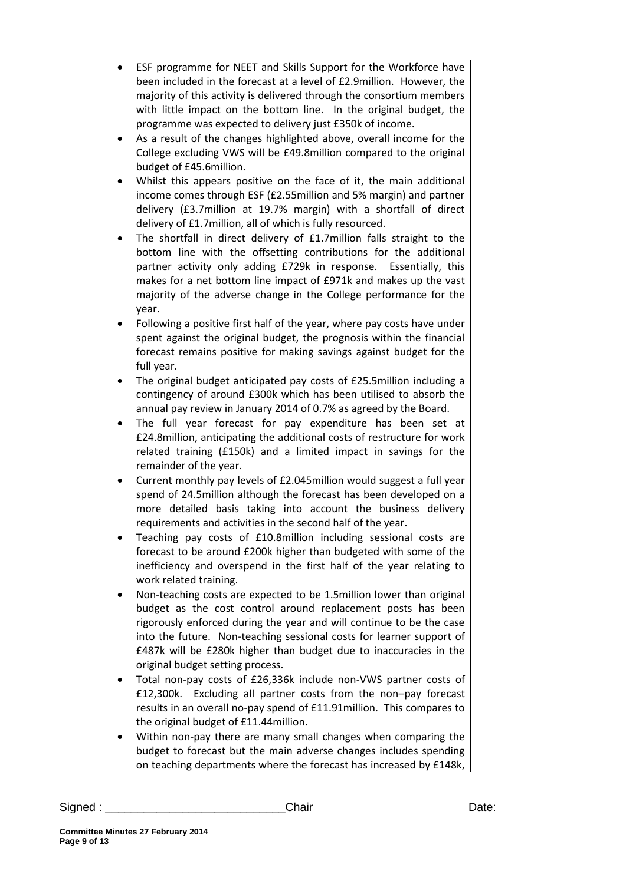- ESF programme for NEET and Skills Support for the Workforce have been included in the forecast at a level of £2.9million. However, the majority of this activity is delivered through the consortium members with little impact on the bottom line. In the original budget, the programme was expected to delivery just £350k of income.
- As a result of the changes highlighted above, overall income for the College excluding VWS will be £49.8million compared to the original budget of £45.6million.
- Whilst this appears positive on the face of it, the main additional income comes through ESF (£2.55million and 5% margin) and partner delivery (£3.7million at 19.7% margin) with a shortfall of direct delivery of £1.7million, all of which is fully resourced.
- The shortfall in direct delivery of £1.7million falls straight to the bottom line with the offsetting contributions for the additional partner activity only adding £729k in response. Essentially, this makes for a net bottom line impact of £971k and makes up the vast majority of the adverse change in the College performance for the year.
- Following a positive first half of the year, where pay costs have under spent against the original budget, the prognosis within the financial forecast remains positive for making savings against budget for the full year.
- The original budget anticipated pay costs of £25.5million including a contingency of around £300k which has been utilised to absorb the annual pay review in January 2014 of 0.7% as agreed by the Board.
- The full year forecast for pay expenditure has been set at £24.8million, anticipating the additional costs of restructure for work related training (£150k) and a limited impact in savings for the remainder of the year.
- Current monthly pay levels of £2.045million would suggest a full year spend of 24.5million although the forecast has been developed on a more detailed basis taking into account the business delivery requirements and activities in the second half of the year.
- Teaching pay costs of £10.8million including sessional costs are forecast to be around £200k higher than budgeted with some of the inefficiency and overspend in the first half of the year relating to work related training.
- Non-teaching costs are expected to be 1.5million lower than original budget as the cost control around replacement posts has been rigorously enforced during the year and will continue to be the case into the future. Non-teaching sessional costs for learner support of £487k will be £280k higher than budget due to inaccuracies in the original budget setting process.
- Total non-pay costs of £26,336k include non-VWS partner costs of £12,300k. Excluding all partner costs from the non–pay forecast results in an overall no-pay spend of £11.91million. This compares to the original budget of £11.44million.
- Within non-pay there are many small changes when comparing the budget to forecast but the main adverse changes includes spending on teaching departments where the forecast has increased by £148k,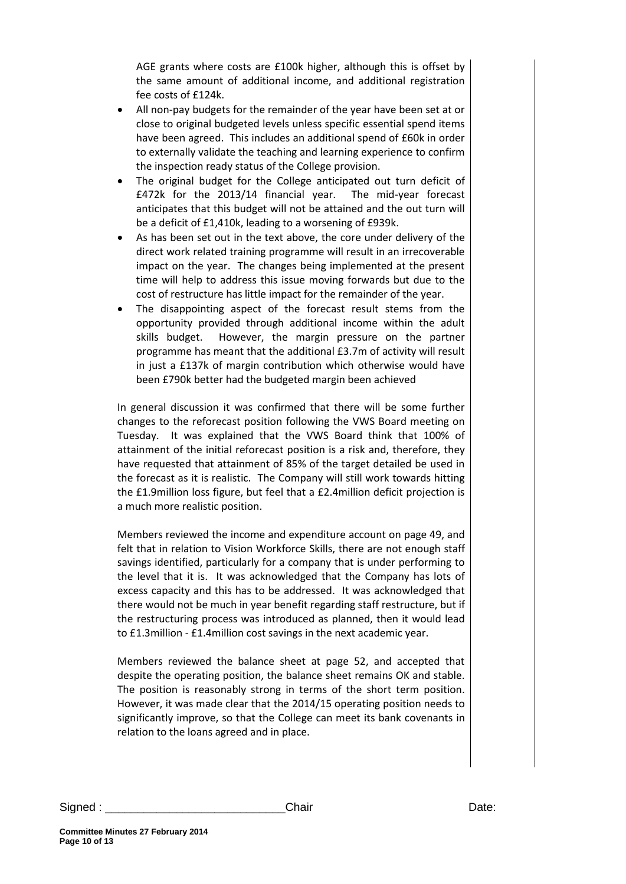AGE grants where costs are £100k higher, although this is offset by the same amount of additional income, and additional registration fee costs of £124k.

- All non-pay budgets for the remainder of the year have been set at or close to original budgeted levels unless specific essential spend items have been agreed. This includes an additional spend of £60k in order to externally validate the teaching and learning experience to confirm the inspection ready status of the College provision.
- The original budget for the College anticipated out turn deficit of £472k for the 2013/14 financial year. The mid-year forecast anticipates that this budget will not be attained and the out turn will be a deficit of £1,410k, leading to a worsening of £939k.
- As has been set out in the text above, the core under delivery of the direct work related training programme will result in an irrecoverable impact on the year. The changes being implemented at the present time will help to address this issue moving forwards but due to the cost of restructure has little impact for the remainder of the year.
- The disappointing aspect of the forecast result stems from the opportunity provided through additional income within the adult skills budget. However, the margin pressure on the partner programme has meant that the additional £3.7m of activity will result in just a £137k of margin contribution which otherwise would have been £790k better had the budgeted margin been achieved

In general discussion it was confirmed that there will be some further changes to the reforecast position following the VWS Board meeting on Tuesday. It was explained that the VWS Board think that 100% of attainment of the initial reforecast position is a risk and, therefore, they have requested that attainment of 85% of the target detailed be used in the forecast as it is realistic. The Company will still work towards hitting the £1.9million loss figure, but feel that a £2.4million deficit projection is a much more realistic position.

Members reviewed the income and expenditure account on page 49, and felt that in relation to Vision Workforce Skills, there are not enough staff savings identified, particularly for a company that is under performing to the level that it is. It was acknowledged that the Company has lots of excess capacity and this has to be addressed. It was acknowledged that there would not be much in year benefit regarding staff restructure, but if the restructuring process was introduced as planned, then it would lead to £1.3million - £1.4million cost savings in the next academic year.

Members reviewed the balance sheet at page 52, and accepted that despite the operating position, the balance sheet remains OK and stable. The position is reasonably strong in terms of the short term position. However, it was made clear that the 2014/15 operating position needs to significantly improve, so that the College can meet its bank covenants in relation to the loans agreed and in place.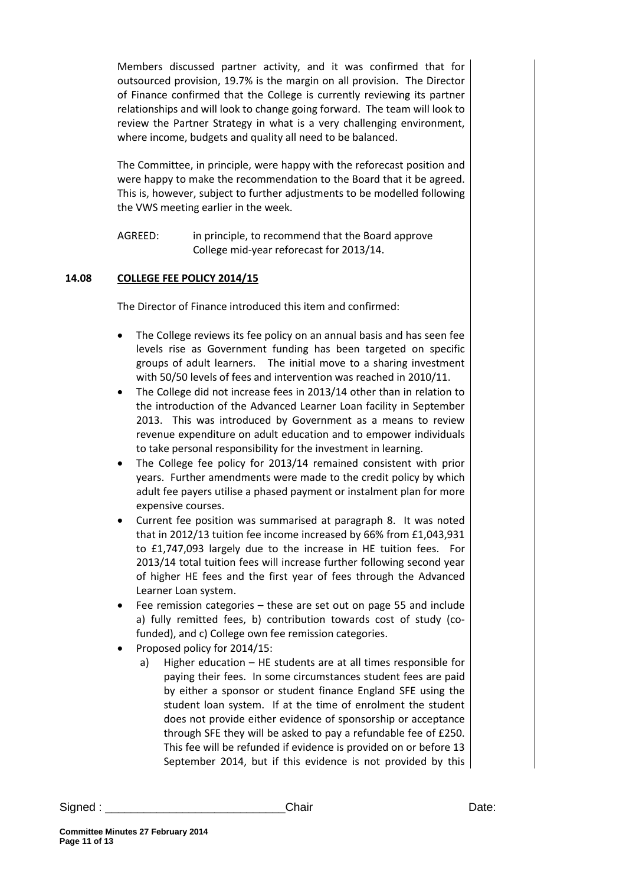Members discussed partner activity, and it was confirmed that for outsourced provision, 19.7% is the margin on all provision. The Director of Finance confirmed that the College is currently reviewing its partner relationships and will look to change going forward. The team will look to review the Partner Strategy in what is a very challenging environment, where income, budgets and quality all need to be balanced.

The Committee, in principle, were happy with the reforecast position and were happy to make the recommendation to the Board that it be agreed. This is, however, subject to further adjustments to be modelled following the VWS meeting earlier in the week.

AGREED: in principle, to recommend that the Board approve College mid-year reforecast for 2013/14.

## **14.08 COLLEGE FEE POLICY 2014/15**

The Director of Finance introduced this item and confirmed:

- The College reviews its fee policy on an annual basis and has seen fee levels rise as Government funding has been targeted on specific groups of adult learners. The initial move to a sharing investment with 50/50 levels of fees and intervention was reached in 2010/11.
- The College did not increase fees in 2013/14 other than in relation to the introduction of the Advanced Learner Loan facility in September 2013. This was introduced by Government as a means to review revenue expenditure on adult education and to empower individuals to take personal responsibility for the investment in learning.
- The College fee policy for 2013/14 remained consistent with prior years. Further amendments were made to the credit policy by which adult fee payers utilise a phased payment or instalment plan for more expensive courses.
- Current fee position was summarised at paragraph 8. It was noted that in 2012/13 tuition fee income increased by 66% from £1,043,931 to £1,747,093 largely due to the increase in HE tuition fees. For 2013/14 total tuition fees will increase further following second year of higher HE fees and the first year of fees through the Advanced Learner Loan system.
- Fee remission categories these are set out on page 55 and include a) fully remitted fees, b) contribution towards cost of study (cofunded), and c) College own fee remission categories.
- Proposed policy for 2014/15:
	- a) Higher education HE students are at all times responsible for paying their fees. In some circumstances student fees are paid by either a sponsor or student finance England SFE using the student loan system. If at the time of enrolment the student does not provide either evidence of sponsorship or acceptance through SFE they will be asked to pay a refundable fee of £250. This fee will be refunded if evidence is provided on or before 13 September 2014, but if this evidence is not provided by this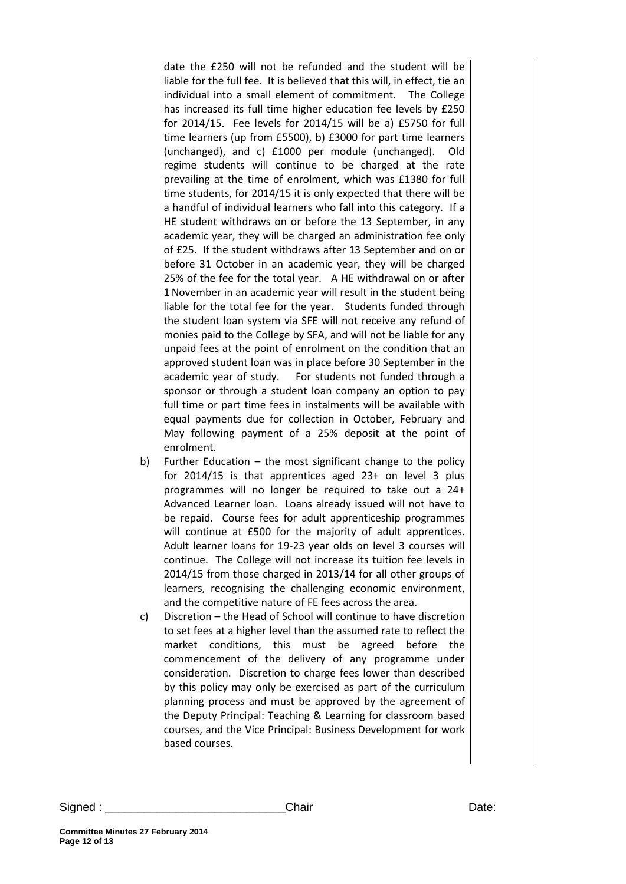date the £250 will not be refunded and the student will be liable for the full fee. It is believed that this will, in effect, tie an individual into a small element of commitment. The College has increased its full time higher education fee levels by £250 for 2014/15. Fee levels for 2014/15 will be a) £5750 for full time learners (up from £5500), b) £3000 for part time learners (unchanged), and c) £1000 per module (unchanged). Old regime students will continue to be charged at the rate prevailing at the time of enrolment, which was £1380 for full time students, for 2014/15 it is only expected that there will be a handful of individual learners who fall into this category. If a HE student withdraws on or before the 13 September, in any academic year, they will be charged an administration fee only of £25. If the student withdraws after 13 September and on or before 31 October in an academic year, they will be charged 25% of the fee for the total year. A HE withdrawal on or after 1 November in an academic year will result in the student being liable for the total fee for the year. Students funded through the student loan system via SFE will not receive any refund of monies paid to the College by SFA, and will not be liable for any unpaid fees at the point of enrolment on the condition that an approved student loan was in place before 30 September in the academic year of study. For students not funded through a sponsor or through a student loan company an option to pay full time or part time fees in instalments will be available with equal payments due for collection in October, February and May following payment of a 25% deposit at the point of enrolment.

- b) Further Education the most significant change to the policy for 2014/15 is that apprentices aged 23+ on level 3 plus programmes will no longer be required to take out a 24+ Advanced Learner loan. Loans already issued will not have to be repaid. Course fees for adult apprenticeship programmes will continue at £500 for the majority of adult apprentices. Adult learner loans for 19-23 year olds on level 3 courses will continue. The College will not increase its tuition fee levels in 2014/15 from those charged in 2013/14 for all other groups of learners, recognising the challenging economic environment, and the competitive nature of FE fees across the area.
- c) Discretion the Head of School will continue to have discretion to set fees at a higher level than the assumed rate to reflect the market conditions, this must be agreed before the commencement of the delivery of any programme under consideration. Discretion to charge fees lower than described by this policy may only be exercised as part of the curriculum planning process and must be approved by the agreement of the Deputy Principal: Teaching & Learning for classroom based courses, and the Vice Principal: Business Development for work based courses.

Signed : \_\_\_\_\_\_\_\_\_\_\_\_\_\_\_\_\_\_\_\_\_\_\_\_\_\_\_\_Chair Date: